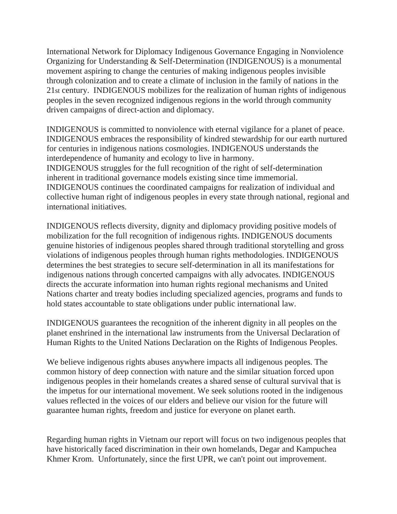International Network for Diplomacy Indigenous Governance Engaging in Nonviolence Organizing for Understanding & Self-Determination (INDIGENOUS) is a monumental movement aspiring to change the centuries of making indigenous peoples invisible through colonization and to create a climate of inclusion in the family of nations in the 21st century. INDIGENOUS mobilizes for the realization of human rights of indigenous peoples in the seven recognized indigenous regions in the world through community driven campaigns of direct-action and diplomacy.

INDIGENOUS is committed to nonviolence with eternal vigilance for a planet of peace. INDIGENOUS embraces the responsibility of kindred stewardship for our earth nurtured for centuries in indigenous nations cosmologies. INDIGENOUS understands the interdependence of humanity and ecology to live in harmony. INDIGENOUS struggles for the full recognition of the right of self-determination inherent in traditional governance models existing since time immemorial. INDIGENOUS continues the coordinated campaigns for realization of individual and collective human right of indigenous peoples in every state through national, regional and international initiatives.

INDIGENOUS reflects diversity, dignity and diplomacy providing positive models of mobilization for the full recognition of indigenous rights. INDIGENOUS documents genuine histories of indigenous peoples shared through traditional storytelling and gross violations of indigenous peoples through human rights methodologies. INDIGENOUS determines the best strategies to secure self-determination in all its manifestations for indigenous nations through concerted campaigns with ally advocates. INDIGENOUS directs the accurate information into human rights regional mechanisms and United Nations charter and treaty bodies including specialized agencies, programs and funds to hold states accountable to state obligations under public international law.

INDIGENOUS guarantees the recognition of the inherent dignity in all peoples on the planet enshrined in the international law instruments from the Universal Declaration of Human Rights to the United Nations Declaration on the Rights of Indigenous Peoples.

We believe indigenous rights abuses anywhere impacts all indigenous peoples. The common history of deep connection with nature and the similar situation forced upon indigenous peoples in their homelands creates a shared sense of cultural survival that is the impetus for our international movement. We seek solutions rooted in the indigenous values reflected in the voices of our elders and believe our vision for the future will guarantee human rights, freedom and justice for everyone on planet earth.

Regarding human rights in Vietnam our report will focus on two indigenous peoples that have historically faced discrimination in their own homelands, Degar and Kampuchea Khmer Krom. Unfortunately, since the first UPR, we can't point out improvement.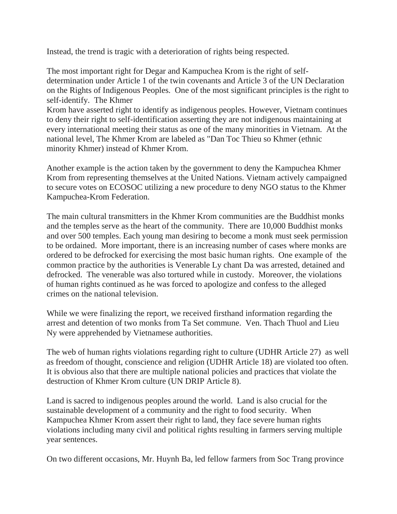Instead, the trend is tragic with a deterioration of rights being respected.

The most important right for Degar and Kampuchea Krom is the right of selfdetermination under Article 1 of the twin covenants and Article 3 of the UN Declaration on the Rights of Indigenous Peoples. One of the most significant principles is the right to self-identify. The Khmer

Krom have asserted right to identify as indigenous peoples. However, Vietnam continues to deny their right to self-identification asserting they are not indigenous maintaining at every international meeting their status as one of the many minorities in Vietnam. At the national level, The Khmer Krom are labeled as "Dan Toc Thieu so Khmer (ethnic minority Khmer) instead of Khmer Krom.

Another example is the action taken by the government to deny the Kampuchea Khmer Krom from representing themselves at the United Nations. Vietnam actively campaigned to secure votes on ECOSOC utilizing a new procedure to deny NGO status to the Khmer Kampuchea-Krom Federation.

The main cultural transmitters in the Khmer Krom communities are the Buddhist monks and the temples serve as the heart of the community. There are 10,000 Buddhist monks and over 500 temples. Each young man desiring to become a monk must seek permission to be ordained. More important, there is an increasing number of cases where monks are ordered to be defrocked for exercising the most basic human rights. One example of the common practice by the authorities is Venerable Ly chant Da was arrested, detained and defrocked. The venerable was also tortured while in custody. Moreover, the violations of human rights continued as he was forced to apologize and confess to the alleged crimes on the national television.

While we were finalizing the report, we received firsthand information regarding the arrest and detention of two monks from Ta Set commune. Ven. Thach Thuol and Lieu Ny were apprehended by Vietnamese authorities.

The web of human rights violations regarding right to culture (UDHR Article 27) as well as freedom of thought, conscience and religion (UDHR Article 18) are violated too often. It is obvious also that there are multiple national policies and practices that violate the destruction of Khmer Krom culture (UN DRIP Article 8).

Land is sacred to indigenous peoples around the world. Land is also crucial for the sustainable development of a community and the right to food security. When Kampuchea Khmer Krom assert their right to land, they face severe human rights violations including many civil and political rights resulting in farmers serving multiple year sentences.

On two different occasions, Mr. Huynh Ba, led fellow farmers from Soc Trang province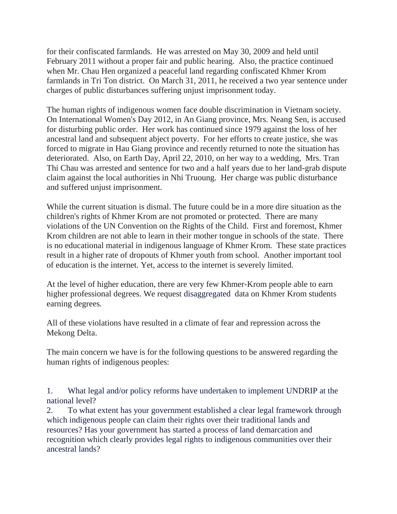for their confiscated farmlands. He was arrested on May 30, 2009 and held until February 2011 without a proper fair and public hearing. Also, the practice continued when Mr. Chau Hen organized a peaceful land regarding confiscated Khmer Krom farmlands in Tri Ton district. On March 31, 2011, he received a two year sentence under charges of public disturbances suffering unjust imprisonment today.

The human rights of indigenous women face double discrimination in Vietnam society. On International Women's Day 2012, in An Giang province, Mrs. Neang Sen, is accused for disturbing public order. Her work has continued since 1979 against the loss of her ancestral land and subsequent abject poverty. For her efforts to create justice, she was forced to migrate in Hau Giang province and recently returned to note the situation has deteriorated. Also, on Earth Day, April 22, 2010, on her way to a wedding, Mrs. Tran Thi Chau was arrested and sentence for two and a half years due to her land-grab dispute claim against the local authorities in Nhi Truoung. Her charge was public disturbance and suffered unjust imprisonment.

While the current situation is dismal. The future could be in a more dire situation as the children's rights of Khmer Krom are not promoted or protected. There are many violations of the UN Convention on the Rights of the Child. First and foremost, Khmer Krom children are not able to learn in their mother tongue in schools of the state. There is no educational material in indigenous language of Khmer Krom. These state practices result in a higher rate of dropouts of Khmer youth from school. Another important tool of education is the internet. Yet, access to the internet is severely limited.

At the level of higher education, there are very few Khmer-Krom people able to earn higher professional degrees. We request disaggregated data on Khmer Krom students earning degrees.

All of these violations have resulted in a climate of fear and repression across the Mekong Delta.

The main concern we have is for the following questions to be answered regarding the human rights of indigenous peoples:

1. What legal and/or policy reforms have undertaken to implement UNDRIP at the national level?

2. To what extent has your government established a clear legal framework through which indigenous people can claim their rights over their traditional lands and resources? Has your government has started a process of land demarcation and recognition which clearly provides legal rights to indigenous communities over their ancestral lands?